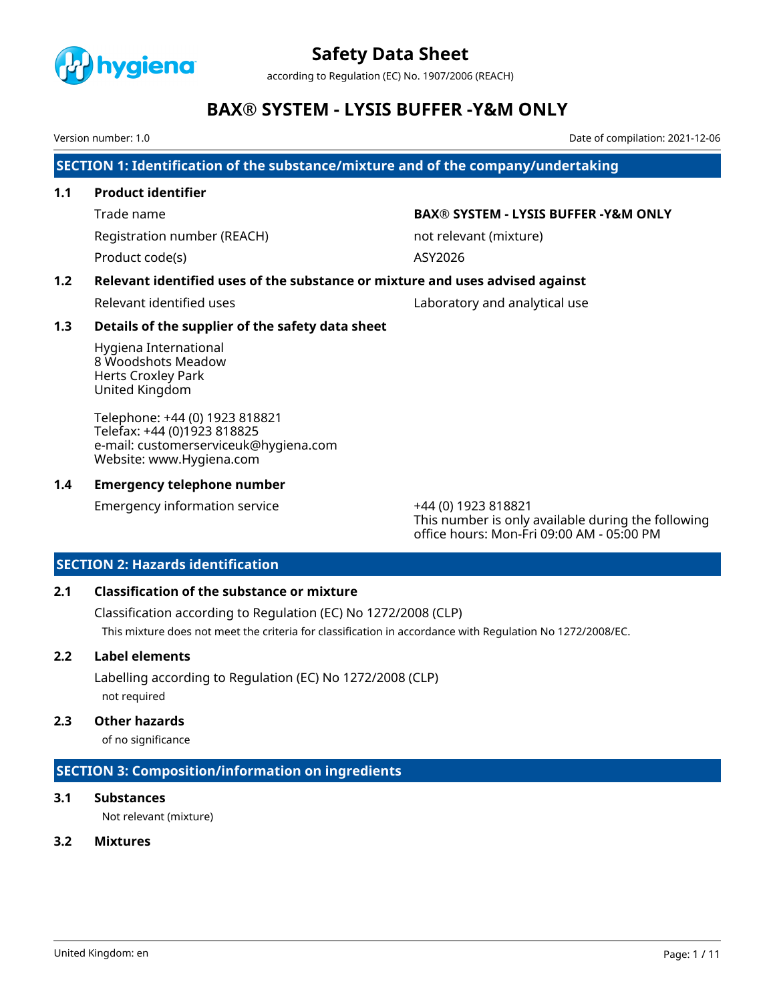

according to Regulation (EC) No. 1907/2006 (REACH)

# **BAX® SYSTEM - LYSIS BUFFER -Y&M ONLY**

Version number: 1.0 Date of compilation: 2021-12-06

**SECTION 1: Identification of the substance/mixture and of the company/undertaking**

### **1.1 Product identifier**

Product code(s) ASY2026

### Trade name **BAX® SYSTEM - LYSIS BUFFER -Y&M ONLY**

Registration number (REACH) not relevant (mixture)

# **1.2 Relevant identified uses of the substance or mixture and uses advised against**

Relevant identified uses and analytical use Laboratory and analytical use

### **1.3 Details of the supplier of the safety data sheet**

Hygiena International 8 Woodshots Meadow Herts Croxley Park United Kingdom

Telephone: +44 (0) 1923 818821 Telefax: +44 (0)1923 818825 e-mail: customerserviceuk@hygiena.com Website: www.Hygiena.com

### **1.4 Emergency telephone number**

Emergency information service +44 (0) 1923 818821

This number is only available during the following office hours: Mon-Fri 09:00 AM - 05:00 PM

# **SECTION 2: Hazards identification**

# **2.1 Classification of the substance or mixture**

Classification according to Regulation (EC) No 1272/2008 (CLP) This mixture does not meet the criteria for classification in accordance with Regulation No 1272/2008/EC.

# **2.2 Label elements**

Labelling according to Regulation (EC) No 1272/2008 (CLP) not required

#### **2.3 Other hazards**

of no significance

# **SECTION 3: Composition/information on ingredients**

# **3.1 Substances**

Not relevant (mixture)

# **3.2 Mixtures**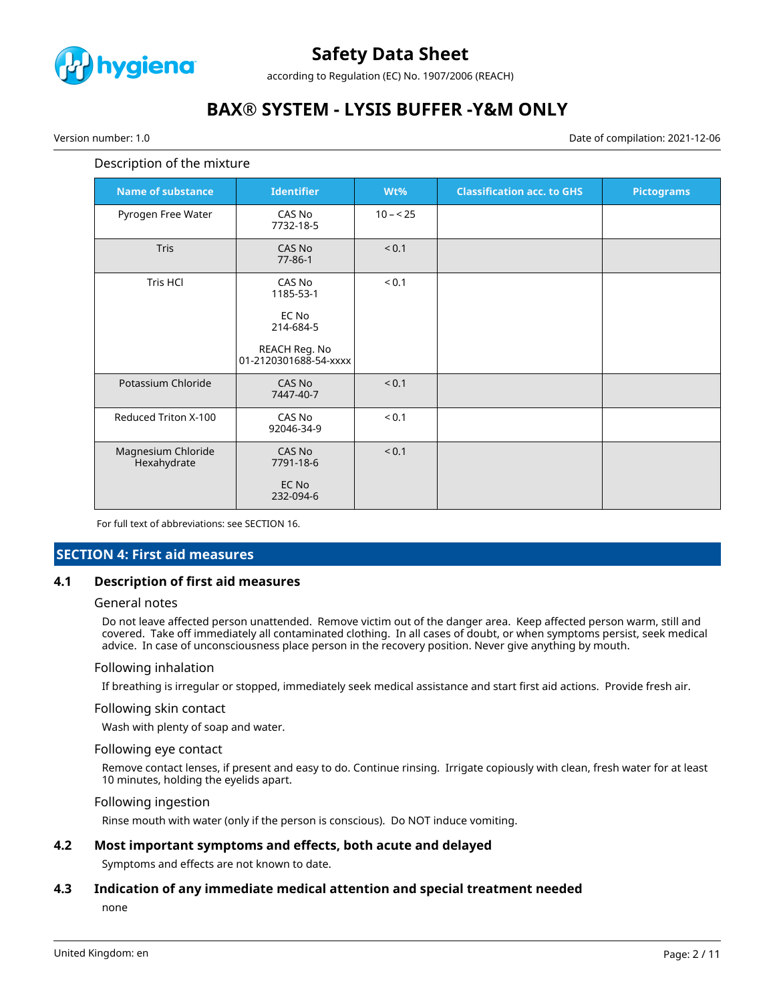

according to Regulation (EC) No. 1907/2006 (REACH)

# **BAX® SYSTEM - LYSIS BUFFER -Y&M ONLY**

Version number: 1.0 Date of compilation: 2021-12-06

# Description of the mixture

| <b>Name of substance</b>          | <b>Identifier</b>                                                                   | Wt%        | <b>Classification acc. to GHS</b> | <b>Pictograms</b> |
|-----------------------------------|-------------------------------------------------------------------------------------|------------|-----------------------------------|-------------------|
| Pyrogen Free Water                | CAS No<br>7732-18-5                                                                 | $10 - 25$  |                                   |                   |
| Tris                              | CAS No<br>$77 - 86 - 1$                                                             | < 0.1      |                                   |                   |
| <b>Tris HCI</b>                   | CAS No<br>1185-53-1<br>EC No<br>214-684-5<br>REACH Reg. No<br>01-2120301688-54-xxxx | ${}_{0.1}$ |                                   |                   |
| Potassium Chloride                | CAS No<br>7447-40-7                                                                 | < 0.1      |                                   |                   |
| Reduced Triton X-100              | CAS No<br>92046-34-9                                                                | ${}_{0.1}$ |                                   |                   |
| Magnesium Chloride<br>Hexahydrate | CAS No<br>7791-18-6<br>EC No<br>232-094-6                                           | < 0.1      |                                   |                   |

For full text of abbreviations: see SECTION 16.

#### **SECTION 4: First aid measures**

#### **4.1 Description of first aid measures**

#### General notes

Do not leave affected person unattended. Remove victim out of the danger area. Keep affected person warm, still and covered. Take off immediately all contaminated clothing. In all cases of doubt, or when symptoms persist, seek medical advice. In case of unconsciousness place person in the recovery position. Never give anything by mouth.

#### Following inhalation

If breathing is irregular or stopped, immediately seek medical assistance and start first aid actions. Provide fresh air.

#### Following skin contact

Wash with plenty of soap and water.

#### Following eye contact

Remove contact lenses, if present and easy to do. Continue rinsing. Irrigate copiously with clean, fresh water for at least 10 minutes, holding the eyelids apart.

#### Following ingestion

Rinse mouth with water (only if the person is conscious). Do NOT induce vomiting.

#### **4.2 Most important symptoms and effects, both acute and delayed**

Symptoms and effects are not known to date.

#### **4.3 Indication of any immediate medical attention and special treatment needed**

none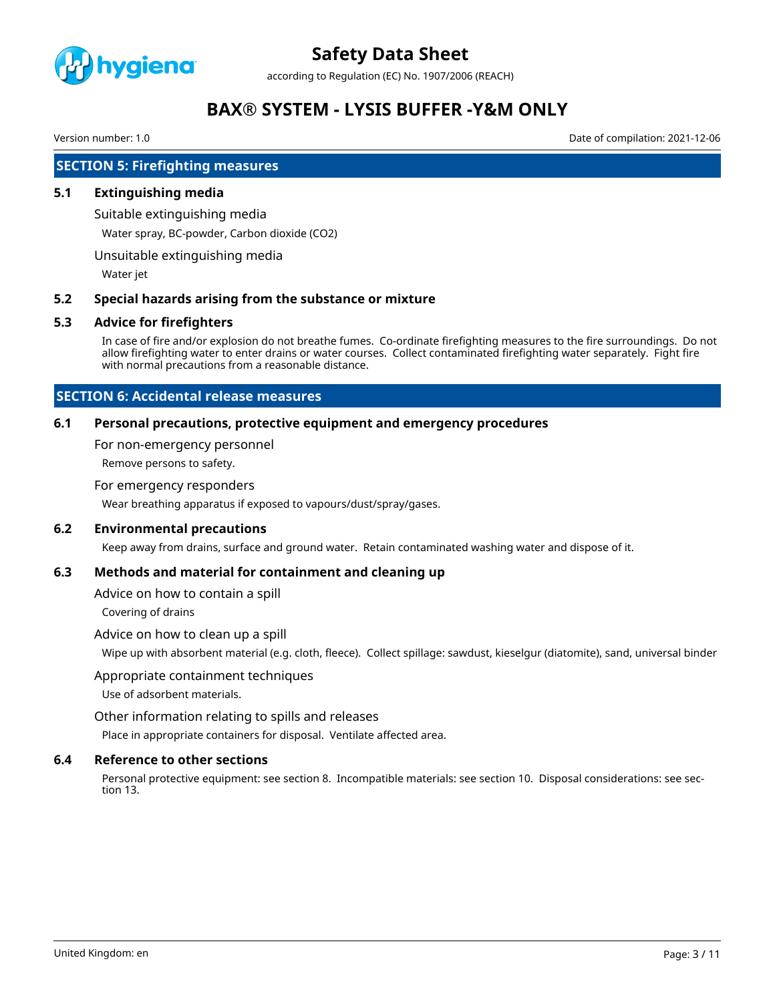

according to Regulation (EC) No. 1907/2006 (REACH)

# **BAX® SYSTEM - LYSIS BUFFER -Y&M ONLY**

Version number: 1.0 Date of compilation: 2021-12-06

# **SECTION 5: Firefighting measures**

#### **5.1 Extinguishing media**

Suitable extinguishing media

Water spray, BC-powder, Carbon dioxide (CO2)

Unsuitable extinguishing media

Water jet

#### **5.2 Special hazards arising from the substance or mixture**

#### **5.3 Advice for firefighters**

In case of fire and/or explosion do not breathe fumes. Co-ordinate firefighting measures to the fire surroundings. Do not allow firefighting water to enter drains or water courses. Collect contaminated firefighting water separately. Fight fire with normal precautions from a reasonable distance.

# **SECTION 6: Accidental release measures**

#### **6.1 Personal precautions, protective equipment and emergency procedures**

For non-emergency personnel

Remove persons to safety.

#### For emergency responders

Wear breathing apparatus if exposed to vapours/dust/spray/gases.

### **6.2 Environmental precautions**

Keep away from drains, surface and ground water. Retain contaminated washing water and dispose of it.

#### **6.3 Methods and material for containment and cleaning up**

Advice on how to contain a spill

Covering of drains

#### Advice on how to clean up a spill

Wipe up with absorbent material (e.g. cloth, fleece). Collect spillage: sawdust, kieselgur (diatomite), sand, universal binder

#### Appropriate containment techniques

Use of adsorbent materials.

Other information relating to spills and releases

Place in appropriate containers for disposal. Ventilate affected area.

#### **6.4 Reference to other sections**

Personal protective equipment: see section 8. Incompatible materials: see section 10. Disposal considerations: see section 13.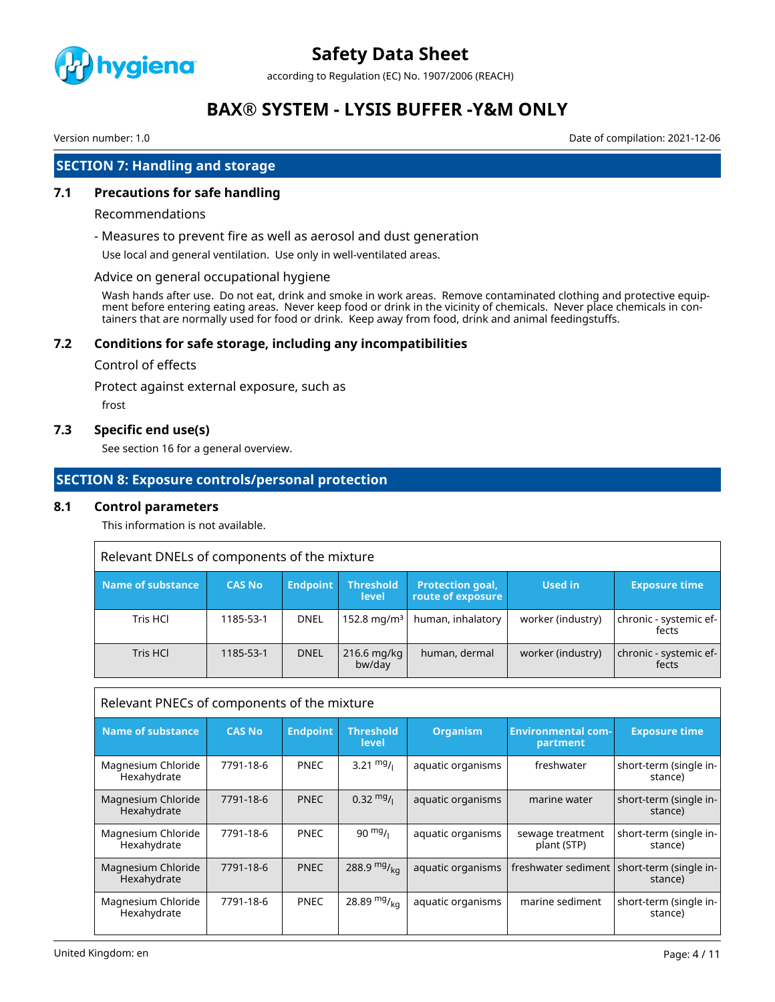

according to Regulation (EC) No. 1907/2006 (REACH)

# **BAX® SYSTEM - LYSIS BUFFER -Y&M ONLY**

Version number: 1.0 Date of compilation: 2021-12-06

# **SECTION 7: Handling and storage**

### **7.1 Precautions for safe handling**

#### Recommendations

- Measures to prevent fire as well as aerosol and dust generation

Use local and general ventilation. Use only in well-ventilated areas.

#### Advice on general occupational hygiene

Wash hands after use. Do not eat, drink and smoke in work areas. Remove contaminated clothing and protective equipment before entering eating areas. Never keep food or drink in the vicinity of chemicals. Never place chemicals in containers that are normally used for food or drink. Keep away from food, drink and animal feedingstuffs.

#### **7.2 Conditions for safe storage, including any incompatibilities**

#### Control of effects

Protect against external exposure, such as

frost

#### **7.3 Specific end use(s)**

See section 16 for a general overview.

#### **SECTION 8: Exposure controls/personal protection**

#### **8.1 Control parameters**

This information is not available.

| Relevant DNELs of components of the mixture |               |                 |                           |                                              |                   |                                 |
|---------------------------------------------|---------------|-----------------|---------------------------|----------------------------------------------|-------------------|---------------------------------|
| Name of substance                           | <b>CAS No</b> | <b>Endpoint</b> | <b>Threshold</b><br>level | <b>Protection goal,</b><br>route of exposure | Used in           | <b>Exposure time</b>            |
| Tris HCl                                    | 1185-53-1     | <b>DNEL</b>     | 152.8 mg/m <sup>3</sup>   | human, inhalatory                            | worker (industry) | chronic - systemic ef-<br>fects |
| Tris HCL                                    | 1185-53-1     | <b>DNEL</b>     | $216.6$ mg/kg<br>bw/day   | human, dermal                                | worker (industry) | chronic - systemic ef-<br>fects |

| Relevant PNECs of components of the mixture |               |                 |                           |                   |                                       |                                                         |
|---------------------------------------------|---------------|-----------------|---------------------------|-------------------|---------------------------------------|---------------------------------------------------------|
| <b>Name of substance</b>                    | <b>CAS No</b> | <b>Endpoint</b> | <b>Threshold</b><br>level | <b>Organism</b>   | <b>Environmental com-</b><br>partment | <b>Exposure time</b>                                    |
| Magnesium Chloride<br>Hexahydrate           | 7791-18-6     | <b>PNEC</b>     | 3.21 $mg/1$               | aquatic organisms | freshwater                            | short-term (single in-<br>stance)                       |
| Magnesium Chloride<br>Hexahydrate           | 7791-18-6     | <b>PNEC</b>     | $0.32 \frac{mg}{l}$       | aquatic organisms | marine water                          | short-term (single in-<br>stance)                       |
| Magnesium Chloride<br>Hexahydrate           | 7791-18-6     | <b>PNEC</b>     | $90 \frac{mg}{l}$         | aquatic organisms | sewage treatment<br>plant (STP)       | short-term (single in-<br>stance)                       |
| Magnesium Chloride<br>Hexahydrate           | 7791-18-6     | <b>PNEC</b>     | 288.9 $mg/_{kq}$          | aquatic organisms |                                       | freshwater sediment   short-term (single in-<br>stance) |
| Magnesium Chloride<br>Hexahydrate           | 7791-18-6     | <b>PNEC</b>     | 28.89 $mg/_{ka}$          | aquatic organisms | marine sediment                       | short-term (single in-<br>stance)                       |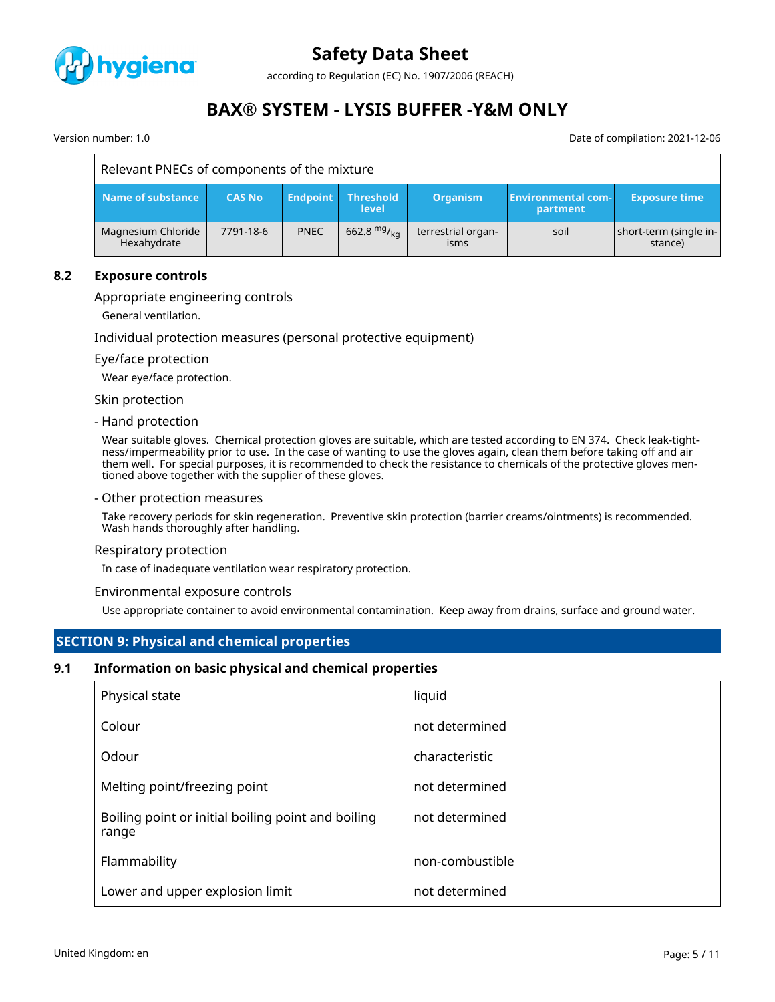

according to Regulation (EC) No. 1907/2006 (REACH)

# **BAX® SYSTEM - LYSIS BUFFER -Y&M ONLY**

Version number: 1.0 Date of compilation: 2021-12-06

| Relevant PNECs of components of the mixture |               |                 |                           |                            |                                       |                                   |
|---------------------------------------------|---------------|-----------------|---------------------------|----------------------------|---------------------------------------|-----------------------------------|
| Name of substance                           | <b>CAS No</b> | <b>Endpoint</b> | <b>Threshold</b><br>level | <b>Organism</b>            | <b>Environmental com-</b><br>partment | <b>Exposure time</b>              |
| Magnesium Chloride<br>Hexahydrate           | 7791-18-6     | <b>PNEC</b>     | 662.8 $mg/kq$             | terrestrial organ-<br>isms | soil                                  | short-term (single in-<br>stance) |

#### **8.2 Exposure controls**

#### Appropriate engineering controls

General ventilation.

#### Individual protection measures (personal protective equipment)

#### Eye/face protection

Wear eye/face protection.

#### Skin protection

#### - Hand protection

Wear suitable gloves. Chemical protection gloves are suitable, which are tested according to EN 374. Check leak-tightness/impermeability prior to use. In the case of wanting to use the gloves again, clean them before taking off and air them well. For special purposes, it is recommended to check the resistance to chemicals of the protective gloves mentioned above together with the supplier of these gloves.

#### - Other protection measures

Take recovery periods for skin regeneration. Preventive skin protection (barrier creams/ointments) is recommended. Wash hands thoroughly after handling.

#### Respiratory protection

In case of inadequate ventilation wear respiratory protection.

#### Environmental exposure controls

Use appropriate container to avoid environmental contamination. Keep away from drains, surface and ground water.

# **SECTION 9: Physical and chemical properties**

#### **9.1 Information on basic physical and chemical properties**

| Physical state                                              | liquid          |
|-------------------------------------------------------------|-----------------|
| Colour                                                      | not determined  |
| Odour                                                       | characteristic  |
| Melting point/freezing point                                | not determined  |
| Boiling point or initial boiling point and boiling<br>range | not determined  |
| Flammability                                                | non-combustible |
| Lower and upper explosion limit                             | not determined  |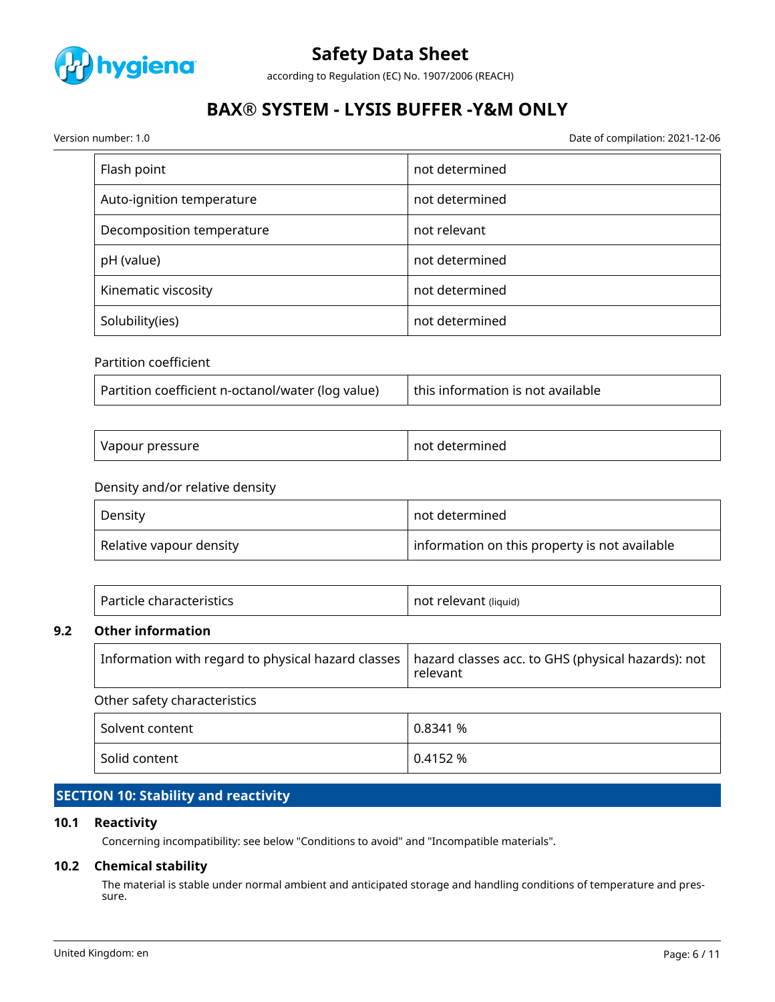

according to Regulation (EC) No. 1907/2006 (REACH)

# **BAX® SYSTEM - LYSIS BUFFER -Y&M ONLY**

Version number: 1.0 Date of compilation: 2021-12-06

| Flash point               | not determined |
|---------------------------|----------------|
| Auto-ignition temperature | not determined |
| Decomposition temperature | not relevant   |
| pH (value)                | not determined |
| Kinematic viscosity       | not determined |
| Solubility(ies)           | not determined |

# Partition coefficient

| Partition coefficient n-octanol/water (log value) | this information is not available |
|---------------------------------------------------|-----------------------------------|
|                                                   |                                   |

| Vapour pressure | not determined |
|-----------------|----------------|
|-----------------|----------------|

### Density and/or relative density

| Density                 | $\mid$ not determined $\mid$                  |
|-------------------------|-----------------------------------------------|
| Relative vapour density | information on this property is not available |

| Particle characteristics | not relevant (liquid) |
|--------------------------|-----------------------|
|                          |                       |

#### **9.2 Other information**

| Other safety characteristics |                                                                                                                     |
|------------------------------|---------------------------------------------------------------------------------------------------------------------|
|                              | Information with regard to physical hazard classes   hazard classes acc. to GHS (physical hazards): not<br>relevant |

| Solvent content | 0.8341 % |
|-----------------|----------|
| Solid content   | 0.4152 % |

# **SECTION 10: Stability and reactivity**

# **10.1 Reactivity**

Concerning incompatibility: see below "Conditions to avoid" and "Incompatible materials".

### **10.2 Chemical stability**

The material is stable under normal ambient and anticipated storage and handling conditions of temperature and pressure.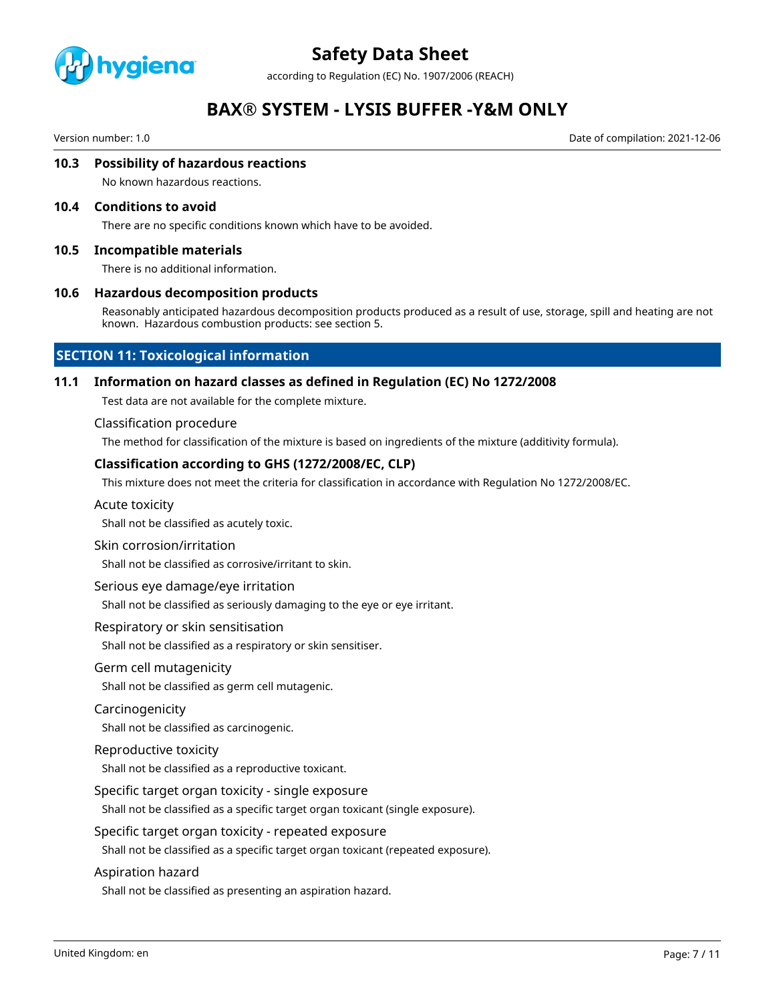

according to Regulation (EC) No. 1907/2006 (REACH)

# **BAX® SYSTEM - LYSIS BUFFER -Y&M ONLY**

Version number: 1.0 Date of compilation: 2021-12-06

#### **10.3 Possibility of hazardous reactions**

No known hazardous reactions.

#### **10.4 Conditions to avoid**

There are no specific conditions known which have to be avoided.

#### **10.5 Incompatible materials**

There is no additional information.

#### **10.6 Hazardous decomposition products**

Reasonably anticipated hazardous decomposition products produced as a result of use, storage, spill and heating are not known. Hazardous combustion products: see section 5.

# **SECTION 11: Toxicological information**

#### **11.1 Information on hazard classes as defined in Regulation (EC) No 1272/2008**

Test data are not available for the complete mixture.

#### Classification procedure

The method for classification of the mixture is based on ingredients of the mixture (additivity formula).

#### **Classification according to GHS (1272/2008/EC, CLP)**

This mixture does not meet the criteria for classification in accordance with Regulation No 1272/2008/EC.

#### Acute toxicity

Shall not be classified as acutely toxic.

#### Skin corrosion/irritation

Shall not be classified as corrosive/irritant to skin.

#### Serious eye damage/eye irritation

Shall not be classified as seriously damaging to the eye or eye irritant.

#### Respiratory or skin sensitisation

Shall not be classified as a respiratory or skin sensitiser.

#### Germ cell mutagenicity

Shall not be classified as germ cell mutagenic.

#### Carcinogenicity

Shall not be classified as carcinogenic.

#### Reproductive toxicity

Shall not be classified as a reproductive toxicant.

#### Specific target organ toxicity - single exposure

Shall not be classified as a specific target organ toxicant (single exposure).

#### Specific target organ toxicity - repeated exposure

Shall not be classified as a specific target organ toxicant (repeated exposure).

#### Aspiration hazard

Shall not be classified as presenting an aspiration hazard.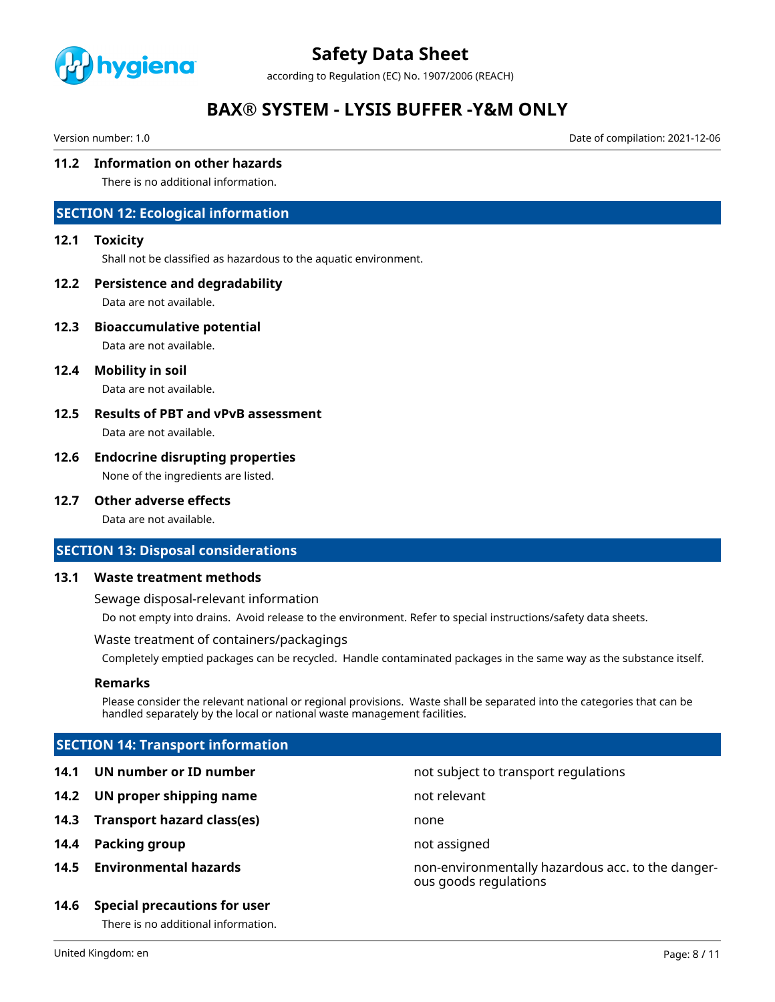

according to Regulation (EC) No. 1907/2006 (REACH)

# **BAX® SYSTEM - LYSIS BUFFER -Y&M ONLY**

Version number: 1.0 Date of compilation: 2021-12-06

### **11.2 Information on other hazards**

There is no additional information.

# **SECTION 12: Ecological information**

#### **12.1 Toxicity**

Shall not be classified as hazardous to the aquatic environment.

#### **12.2 Persistence and degradability**

Data are not available.

**12.3 Bioaccumulative potential**

Data are not available.

**12.4 Mobility in soil**

Data are not available.

# **12.5 Results of PBT and vPvB assessment**

Data are not available.

# **12.6 Endocrine disrupting properties**

None of the ingredients are listed.

### **12.7 Other adverse effects**

Data are not available.

#### **SECTION 13: Disposal considerations**

#### **13.1 Waste treatment methods**

Sewage disposal-relevant information

Do not empty into drains. Avoid release to the environment. Refer to special instructions/safety data sheets.

#### Waste treatment of containers/packagings

Completely emptied packages can be recycled. Handle contaminated packages in the same way as the substance itself.

#### **Remarks**

Please consider the relevant national or regional provisions. Waste shall be separated into the categories that can be handled separately by the local or national waste management facilities.

# **SECTION 14: Transport information**

- **14.1 UN number or ID number not subject to transport regulations**
- **14.2 UN proper shipping name** not relevant
- **14.3 Transport hazard class(es)** none
- **14.4 Packing group not assigned**
- 

#### **14.6 Special precautions for user**

There is no additional information.

**14.5 Environmental hazards** non-environmentally hazardous acc. to the dangerous goods regulations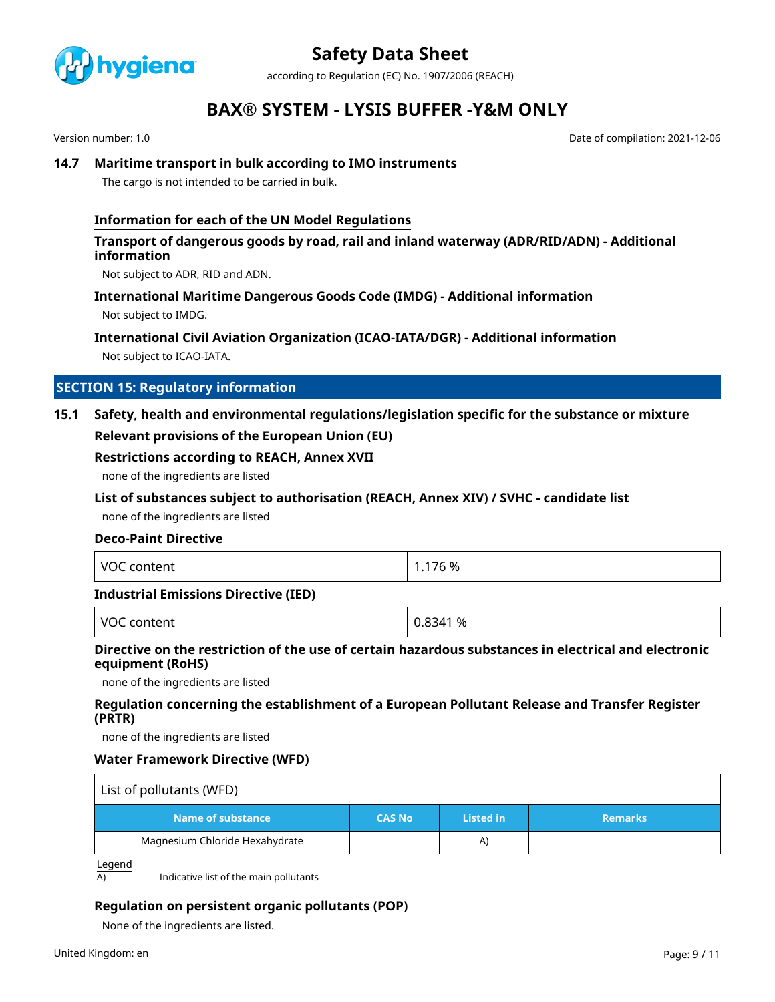

according to Regulation (EC) No. 1907/2006 (REACH)

# **BAX® SYSTEM - LYSIS BUFFER -Y&M ONLY**

Version number: 1.0 Date of compilation: 2021-12-06

### **14.7 Maritime transport in bulk according to IMO instruments**

The cargo is not intended to be carried in bulk.

### **Information for each of the UN Model Regulations**

### **Transport of dangerous goods by road, rail and inland waterway (ADR/RID/ADN) - Additional information**

Not subject to ADR, RID and ADN.

#### **International Maritime Dangerous Goods Code (IMDG) - Additional information**

Not subject to IMDG.

# **International Civil Aviation Organization (ICAO-IATA/DGR) - Additional information**

Not subject to ICAO-IATA.

# **SECTION 15: Regulatory information**

# **15.1 Safety, health and environmental regulations/legislation specific for the substance or mixture Relevant provisions of the European Union (EU)**

#### **Restrictions according to REACH, Annex XVII**

none of the ingredients are listed

### **List of substances subject to authorisation (REACH, Annex XIV) / SVHC - candidate list**

none of the ingredients are listed

### **Deco-Paint Directive**

| <b>VOC</b> | 76 %           |
|------------|----------------|
| content    | $\overline{ }$ |
| .          |                |

#### **Industrial Emissions Directive (IED)**

VOC content  $\vert$  0.8341 %

# **Directive on the restriction of the use of certain hazardous substances in electrical and electronic equipment (RoHS)**

none of the ingredients are listed

### **Regulation concerning the establishment of a European Pollutant Release and Transfer Register (PRTR)**

none of the ingredients are listed

#### **Water Framework Directive (WFD)**

| List of pollutants (WFD)       |               |                  |                |
|--------------------------------|---------------|------------------|----------------|
| Name of substance              | <b>CAS No</b> | <b>Listed in</b> | <b>Remarks</b> |
| Magnesium Chloride Hexahydrate |               | A)               |                |

Legend

 $\overline{A}$  Indicative list of the main pollutants

# **Regulation on persistent organic pollutants (POP)**

None of the ingredients are listed.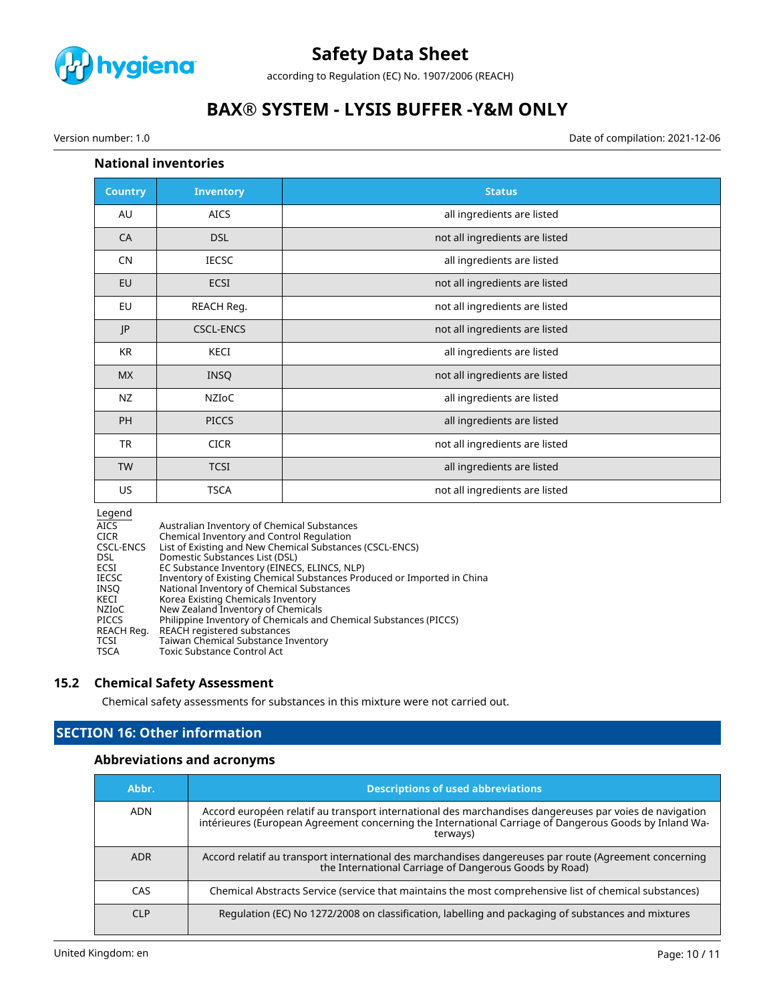

according to Regulation (EC) No. 1907/2006 (REACH)

# **BAX® SYSTEM - LYSIS BUFFER -Y&M ONLY**

Version number: 1.0 Date of compilation: 2021-12-06

### **National inventories**

| <b>Country</b> | <b>Inventory</b> | <b>Status</b>                  |
|----------------|------------------|--------------------------------|
| AU             | <b>AICS</b>      | all ingredients are listed     |
| CA             | <b>DSL</b>       | not all ingredients are listed |
| <b>CN</b>      | <b>IECSC</b>     | all ingredients are listed     |
| EU             | ECSI             | not all ingredients are listed |
| EU             | REACH Reg.       | not all ingredients are listed |
| JP             | <b>CSCL-ENCS</b> | not all ingredients are listed |
| <b>KR</b>      | KECI             | all ingredients are listed     |
| <b>MX</b>      | <b>INSQ</b>      | not all ingredients are listed |
| NZ             | NZIOC            | all ingredients are listed     |
| PH             | <b>PICCS</b>     | all ingredients are listed     |
| <b>TR</b>      | <b>CICR</b>      | not all ingredients are listed |
| <b>TW</b>      | <b>TCSI</b>      | all ingredients are listed     |
| US             | <b>TSCA</b>      | not all ingredients are listed |

#### Legend

| . ت ص        |                                                                         |
|--------------|-------------------------------------------------------------------------|
| <b>AICS</b>  | Australian Inventory of Chemical Substances                             |
| <b>CICR</b>  | Chemical Inventory and Control Regulation                               |
| CSCL-ENCS    | List of Existing and New Chemical Substances (CSCL-ENCS)                |
| DSL.         | Domestic Substances List (DSL)                                          |
| ECSI         | EC Substance Inventory (EINECS, ELINCS, NLP)                            |
| IECSC        | Inventory of Existing Chemical Substances Produced or Imported in China |
| INSO         | National Inventory of Chemical Substances                               |
| KECI         | Korea Existing Chemicals Inventory                                      |
| NZIoC        | New Zealand Inventory of Chemicals                                      |
| <b>PICCS</b> | Philippine Inventory of Chemicals and Chemical Substances (PICCS)       |
| REACH Reg.   | REACH registered substances                                             |
| TCSI         | Taiwan Chemical Substance Inventory                                     |
| TSCA         | Toxic Substance Control Act                                             |
|              |                                                                         |

### **15.2 Chemical Safety Assessment**

Chemical safety assessments for substances in this mixture were not carried out.

# **SECTION 16: Other information**

### **Abbreviations and acronyms**

| Abbr.      | <b>Descriptions of used abbreviations</b>                                                                                                                                                                                     |
|------------|-------------------------------------------------------------------------------------------------------------------------------------------------------------------------------------------------------------------------------|
| ADN        | Accord européen relatif au transport international des marchandises dangereuses par voies de navigation<br>intérieures (European Agreement concerning the International Carriage of Dangerous Goods by Inland Wa-<br>terways) |
| <b>ADR</b> | Accord relatif au transport international des marchandises dangereuses par route (Agreement concerning<br>the International Carriage of Dangerous Goods by Road)                                                              |
| <b>CAS</b> | Chemical Abstracts Service (service that maintains the most comprehensive list of chemical substances)                                                                                                                        |
| C1P        | Regulation (EC) No 1272/2008 on classification, labelling and packaging of substances and mixtures                                                                                                                            |